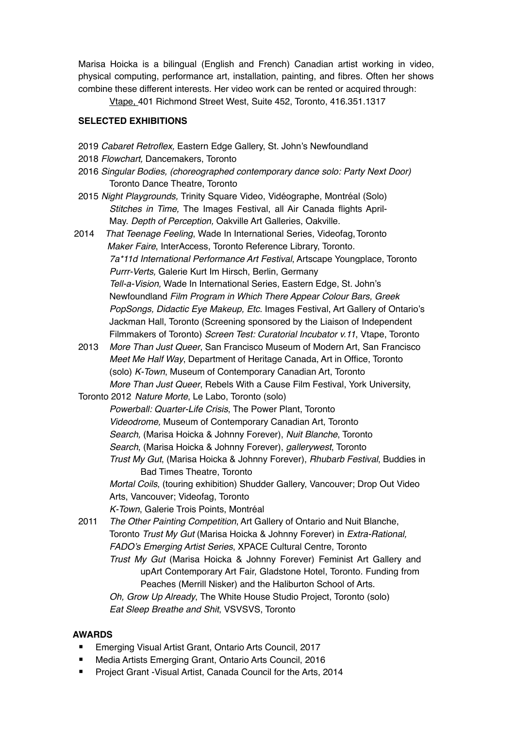Marisa Hoicka is a bilingual (English and French) Canadian artist working in video, physical computing, performance art, installation, painting, and fibres. Often her shows combine these different interests. Her video work can be rented or acquired through:

Vtape, 401 Richmond Street West, Suite 452, Toronto, 416.351.1317

#### **SELECTED EXHIBITIONS**

- 2019 *Cabaret Retroflex,* Eastern Edge Gallery, St. John's Newfoundland
- 2018 *Flowchart,* Dancemakers, Toronto
- 2016 *Singular Bodies, (choreographed contemporary dance solo: Party Next Door)* Toronto Dance Theatre, Toronto
- 2015 *Night Playgrounds,* Trinity Square Video, Vidéographe, Montréal (Solo) *Stitches in Time,* The Images Festival, all Air Canada flights April-May. *Depth of Perception,* Oakville Art Galleries, Oakville.
- 2014 *That Teenage Feeling*, Wade In International Series, Videofag,Toronto *Maker Faire*, InterAccess, Toronto Reference Library, Toronto. *7a\*11d International Performance Art Festival*, Artscape Youngplace, Toronto *Purrr-Verts,* Galerie Kurt Im Hirsch, Berlin, Germany *Tell-a-Vision,* Wade In International Series, Eastern Edge, St. John's Newfoundland *Film Program in Which There Appear Colour Bars, Greek PopSongs, Didactic Eye Makeup, Etc*. Images Festival, Art Gallery of Ontario's Jackman Hall, Toronto (Screening sponsored by the Liaison of Independent Filmmakers of Toronto) *Screen Test: Curatorial Incubator v.11*, Vtape, Toronto
- 2013 *More Than Just Queer*, San Francisco Museum of Modern Art, San Francisco *Meet Me Half Way*, Department of Heritage Canada, Art in Office, Toronto (solo) *K-Town*, Museum of Contemporary Canadian Art, Toronto *More Than Just Queer*, Rebels With a Cause Film Festival, York University,
- Toronto 2012 *Nature Morte*, Le Labo, Toronto (solo) *Powerball: Quarter-Life Crisis*, The Power Plant, Toronto *Videodrome,* Museum of Contemporary Canadian Art, Toronto *Search,* (Marisa Hoicka & Johnny Forever), *Nuit Blanche*, Toronto *Search*, (Marisa Hoicka & Johnny Forever), *gallerywest*, Toronto *Trust My Gut*, (Marisa Hoicka & Johnny Forever), *Rhubarb Festival*, Buddies in Bad Times Theatre, Toronto *Mortal Coils*, (touring exhibition) Shudder Gallery, Vancouver; Drop Out Video Arts, Vancouver; Videofag, Toronto

*K-Town*, Galerie Trois Points, Montréal

2011 *The Other Painting Competition*, Art Gallery of Ontario and Nuit Blanche, Toronto *Trust My Gut* (Marisa Hoicka & Johnny Forever) in *Extra-Rational, FADO's Emerging Artist Series*, XPACE Cultural Centre, Toronto *Trust My Gut* (Marisa Hoicka & Johnny Forever) Feminist Art Gallery and upArt Contemporary Art Fair, Gladstone Hotel, Toronto. Funding from Peaches (Merrill Nisker) and the Haliburton School of Arts. *Oh, Grow Up Already*, The White House Studio Project, Toronto (solo) *Eat Sleep Breathe and Shit*, VSVSVS, Toronto

### **AWARDS**

- Emerging Visual Artist Grant, Ontario Arts Council, 2017
- Media Artists Emerging Grant, Ontario Arts Council, 2016
- Project Grant -Visual Artist, Canada Council for the Arts, 2014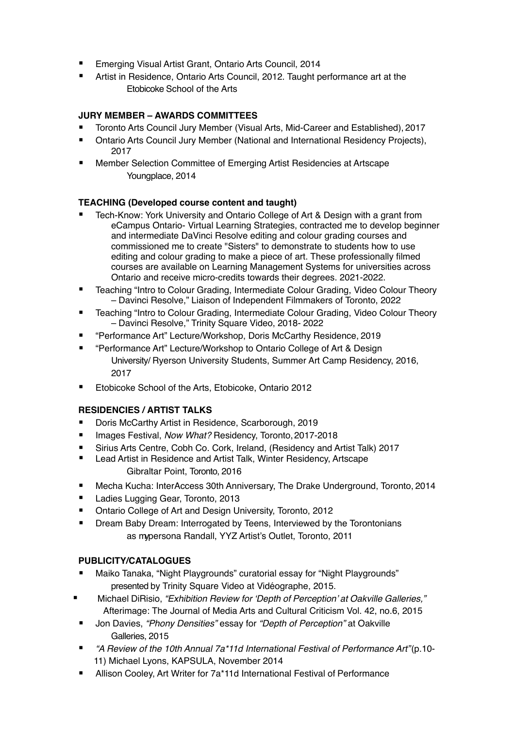- Emerging Visual Artist Grant, Ontario Arts Council, 2014
- Artist in Residence, Ontario Arts Council, 2012. Taught performance art at the Etobicoke School of the Arts

# **JURY MEMBER – AWARDS COMMITTEES**

- Toronto Arts Council Jury Member (Visual Arts, Mid-Career and Established), 2017
- Ontario Arts Council Jury Member (National and International Residency Projects), 2017
- Member Selection Committee of Emerging Artist Residencies at Artscape Youngplace, 2014

### **TEACHING (Developed course content and taught)**

- Tech-Know: York University and Ontario College of Art & Design with a grant from eCampus Ontario- Virtual Learning Strategies, contracted me to develop beginner and intermediate DaVinci Resolve editing and colour grading courses and commissioned me to create "Sisters" to demonstrate to students how to use editing and colour grading to make a piece of art. These professionally filmed courses are available on Learning Management Systems for universities across Ontario and receive micro-credits towards their degrees. 2021-2022.
- Teaching "Intro to Colour Grading, Intermediate Colour Grading, Video Colour Theory – Davinci Resolve," Liaison of Independent Filmmakers of Toronto, 2022
- Teaching "Intro to Colour Grading, Intermediate Colour Grading, Video Colour Theory – Davinci Resolve," Trinity Square Video, 2018- 2022
- "Performance Art" Lecture/Workshop, Doris McCarthy Residence, 2019
- "Performance Art" Lecture/Workshop to Ontario College of Art & Design University/ Ryerson University Students, Summer Art Camp Residency, 2016, 2017
- Etobicoke School of the Arts, Etobicoke, Ontario 2012

### **RESIDENCIES / ARTIST TALKS**

- Doris McCarthy Artist in Residence, Scarborough, 2019
- Images Festival, *Now What?* Residency, Toronto, 2017-2018
- Sirius Arts Centre, Cobh Co. Cork, Ireland, (Residency and Artist Talk) 2017
- Lead Artist in Residence and Artist Talk, Winter Residency, Artscape Gibraltar Point, Toronto, 2016
- Mecha Kucha: InterAccess 30th Anniversary, The Drake Underground, Toronto, 2014
- Ladies Lugging Gear, Toronto, 2013
- Ontario College of Art and Design University, Toronto, 2012
- Dream Baby Dream: Interrogated by Teens, Interviewed by the Torontonians as mypersona Randall, YYZ Artist's Outlet, Toronto, 2011

### **PUBLICITY/CATALOGUES**

- Maiko Tanaka, "Night Playgrounds" curatorial essay for "Night Playgrounds" presented by Trinity Square Video at Vidéographe, 2015.
- Michael DiRisio, *"Exhibition Review for 'Depth of Perception' at Oakville Galleries,"* Afterimage: The Journal of Media Arts and Cultural Criticism Vol. 42, no.6, 2015
- Jon Davies, *"Phony Densities"* essay for *"Depth of Perception"* at Oakville Galleries, 2015
- *"A Review of the 10th Annual 7a\*11d International Festival of Performance Art"*(p.10- 11) Michael Lyons, KAPSULA, November 2014
- Allison Cooley, Art Writer for 7a\*11d International Festival of Performance